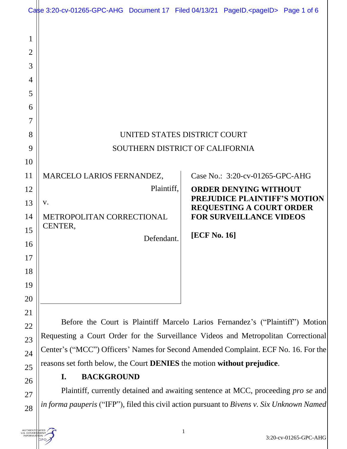|                                                           | Case 3:20-cv-01265-GPC-AHG Document 17 Filed 04/13/21 PageID. <pageid> Page 1 of 6</pageid> |            |                     |                                                                     |  |  |
|-----------------------------------------------------------|---------------------------------------------------------------------------------------------|------------|---------------------|---------------------------------------------------------------------|--|--|
| 1<br>$\overline{2}$<br>3<br>$\overline{4}$<br>5<br>6<br>7 |                                                                                             |            |                     |                                                                     |  |  |
| 8                                                         | UNITED STATES DISTRICT COURT                                                                |            |                     |                                                                     |  |  |
| 9                                                         | SOUTHERN DISTRICT OF CALIFORNIA                                                             |            |                     |                                                                     |  |  |
| 10                                                        |                                                                                             |            |                     |                                                                     |  |  |
| 11                                                        | MARCELO LARIOS FERNANDEZ,                                                                   |            |                     | Case No.: 3:20-cv-01265-GPC-AHG                                     |  |  |
| 12                                                        | Plaintiff,                                                                                  |            |                     | <b>ORDER DENYING WITHOUT</b><br><b>PREJUDICE PLAINTIFF'S MOTION</b> |  |  |
| 13                                                        | V.                                                                                          |            |                     | <b>REQUESTING A COURT ORDER</b>                                     |  |  |
| 14                                                        | METROPOLITAN CORRECTIONAL                                                                   |            |                     | <b>FOR SURVEILLANCE VIDEOS</b>                                      |  |  |
| 15                                                        | CENTER,                                                                                     |            | <b>[ECF No. 16]</b> |                                                                     |  |  |
| 16                                                        |                                                                                             | Defendant. |                     |                                                                     |  |  |
| 17                                                        |                                                                                             |            |                     |                                                                     |  |  |
| 18                                                        |                                                                                             |            |                     |                                                                     |  |  |
| 19                                                        |                                                                                             |            |                     |                                                                     |  |  |
| 20                                                        |                                                                                             |            |                     |                                                                     |  |  |
| 21                                                        |                                                                                             |            |                     |                                                                     |  |  |
| 22                                                        | Before the Court is Plaintiff Marcelo Larios Fernandez's ("Plaintiff") Motion               |            |                     |                                                                     |  |  |
| 23                                                        | Requesting a Court Order for the Surveillance Videos and Metropolitan Correctional          |            |                     |                                                                     |  |  |

Center's ("MCC") Officers' Names for Second Amended Complaint. ECF No. 16. For the reasons set forth below, the Court **DENIES** the motion **without prejudice**.

## **I. BACKGROUND**

24

25

26

27

28

AUTHENT<br>U.S. GOVER<br>INFORM/

Plaintiff, currently detained and awaiting sentence at MCC, proceeding *pro se* and *in forma pauperis* ("IFP"), filed this civil action pursuant to *Bivens v. Six Unknown Named*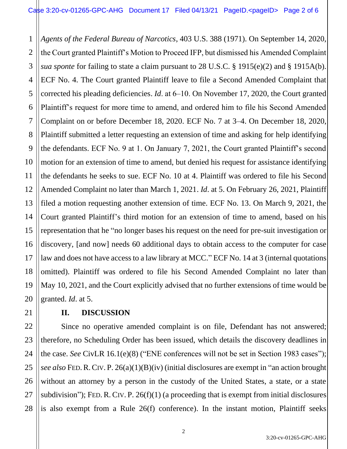1 2 3 4 5 6 7 8 9 10 11 12 13 14 15 16 17 18 19 20 *Agents of the Federal Bureau of Narcotics*, 403 U.S. 388 (1971). On September 14, 2020, the Court granted Plaintiff's Motion to Proceed IFP, but dismissed his Amended Complaint *sua sponte* for failing to state a claim pursuant to 28 U.S.C. § 1915(e)(2) and § 1915A(b). ECF No. 4. The Court granted Plaintiff leave to file a Second Amended Complaint that corrected his pleading deficiencies. *Id.* at 6–10. On November 17, 2020, the Court granted Plaintiff's request for more time to amend, and ordered him to file his Second Amended Complaint on or before December 18, 2020. ECF No. 7 at 3–4. On December 18, 2020, Plaintiff submitted a letter requesting an extension of time and asking for help identifying the defendants. ECF No. 9 at 1. On January 7, 2021, the Court granted Plaintiff's second motion for an extension of time to amend, but denied his request for assistance identifying the defendants he seeks to sue. ECF No. 10 at 4. Plaintiff was ordered to file his Second Amended Complaint no later than March 1, 2021. *Id*. at 5. On February 26, 2021, Plaintiff filed a motion requesting another extension of time. ECF No. 13. On March 9, 2021, the Court granted Plaintiff's third motion for an extension of time to amend, based on his representation that he "no longer bases his request on the need for pre-suit investigation or discovery, [and now] needs 60 additional days to obtain access to the computer for case law and does not have access to a law library at MCC." ECF No. 14 at 3 (internal quotations omitted). Plaintiff was ordered to file his Second Amended Complaint no later than May 10, 2021, and the Court explicitly advised that no further extensions of time would be granted. *Id*. at 5.

## **II. DISCUSSION**

21

22 23 24 25 26 27 28 Since no operative amended complaint is on file, Defendant has not answered; therefore, no Scheduling Order has been issued, which details the discovery deadlines in the case. *See* CivLR 16.1(e)(8) ("ENE conferences will not be set in Section 1983 cases"); *see also* FED.R.CIV. P. 26(a)(1)(B)(iv) (initial disclosures are exempt in "an action brought without an attorney by a person in the custody of the United States, a state, or a state subdivision"); FED. R. CIV. P.  $26(f)(1)$  (a proceeding that is exempt from initial disclosures is also exempt from a Rule 26(f) conference). In the instant motion, Plaintiff seeks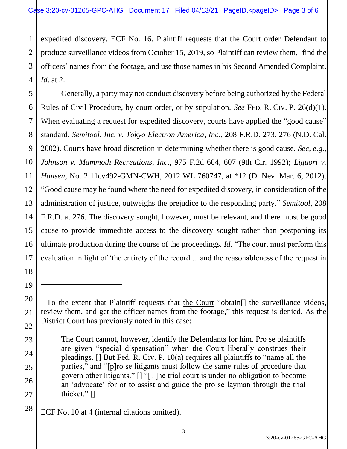1 2 3 4 expedited discovery. ECF No. 16. Plaintiff requests that the Court order Defendant to produce surveillance videos from October 15, 2019, so Plaintiff can review them,<sup>1</sup> find the officers' names from the footage, and use those names in his Second Amended Complaint. *Id*. at 2.

5 6 7 8 9 10 11 12 13 14 15 16 17 Generally, a party may not conduct discovery before being authorized by the Federal Rules of Civil Procedure, by court order, or by stipulation. *See* FED. R. CIV. P. 26(d)(1). When evaluating a request for expedited discovery, courts have applied the "good cause" standard. *Semitool, Inc. v. Tokyo Electron America, Inc.*, 208 F.R.D. 273, 276 (N.D. Cal. 2002). Courts have broad discretion in determining whether there is good cause. *See, e.g.*, *Johnson v. Mammoth Recreations, Inc*., 975 F.2d 604, 607 (9th Cir. 1992); *Liguori v. Hansen*, No. 2:11cv492-GMN-CWH, 2012 WL 760747, at \*12 (D. Nev. Mar. 6, 2012). "Good cause may be found where the need for expedited discovery, in consideration of the administration of justice, outweighs the prejudice to the responding party." *Semitool*, 208 F.R.D. at 276. The discovery sought, however, must be relevant, and there must be good cause to provide immediate access to the discovery sought rather than postponing its ultimate production during the course of the proceedings. *Id*. "The court must perform this evaluation in light of 'the entirety of the record ... and the reasonableness of the request in

18

19

20

21

22

23

24

25

26

27

<sup>&</sup>lt;sup>1</sup> To the extent that Plaintiff requests that the Court "obtain<sup>[]</sup> the surveillance videos, review them, and get the officer names from the footage," this request is denied. As the District Court has previously noted in this case:

The Court cannot, however, identify the Defendants for him. Pro se plaintiffs are given "special dispensation" when the Court liberally construes their pleadings. [] But Fed. R. Civ. P. 10(a) requires all plaintiffs to "name all the parties," and "[p]ro se litigants must follow the same rules of procedure that govern other litigants." [] "[T]he trial court is under no obligation to become an 'advocate' for or to assist and guide the pro se layman through the trial thicket." []

ECF No. 10 at 4 (internal citations omitted).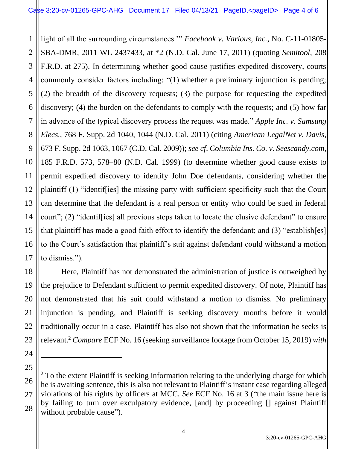1 2 3 4 5 6 7 8 9 10 11 12 13 14 15 16 17 light of all the surrounding circumstances.'" *Facebook v. Various, Inc.*, No. C-11-01805- SBA-DMR, 2011 WL 2437433, at \*2 (N.D. Cal. June 17, 2011) (quoting *Semitool*, 208 F.R.D. at 275). In determining whether good cause justifies expedited discovery, courts commonly consider factors including: "(1) whether a preliminary injunction is pending; (2) the breadth of the discovery requests; (3) the purpose for requesting the expedited discovery; (4) the burden on the defendants to comply with the requests; and (5) how far in advance of the typical discovery process the request was made." *Apple Inc. v. Samsung Elecs.*, 768 F. Supp. 2d 1040, 1044 (N.D. Cal. 2011) (citing *American LegalNet v. Davis*, 673 F. Supp. 2d 1063, 1067 (C.D. Cal. 2009)); *see cf*. *Columbia Ins. Co. v. Seescandy.com*, 185 F.R.D. 573, 578–80 (N.D. Cal. 1999) (to determine whether good cause exists to permit expedited discovery to identify John Doe defendants, considering whether the plaintiff (1) "identif[ies] the missing party with sufficient specificity such that the Court can determine that the defendant is a real person or entity who could be sued in federal court"; (2) "identif[ies] all previous steps taken to locate the elusive defendant" to ensure that plaintiff has made a good faith effort to identify the defendant; and (3) "establish[es] to the Court's satisfaction that plaintiff's suit against defendant could withstand a motion to dismiss.").

18 20 23 Here, Plaintiff has not demonstrated the administration of justice is outweighed by the prejudice to Defendant sufficient to permit expedited discovery. Of note, Plaintiff has not demonstrated that his suit could withstand a motion to dismiss. No preliminary injunction is pending, and Plaintiff is seeking discovery months before it would traditionally occur in a case. Plaintiff has also not shown that the information he seeks is relevant.<sup>2</sup> *Compare* ECF No. 16 (seeking surveillance footage from October 15, 2019) *with*

19

21

22

24

<sup>26</sup> 27 28  $2^2$  To the extent Plaintiff is seeking information relating to the underlying charge for which he is awaiting sentence, this is also not relevant to Plaintiff's instant case regarding alleged violations of his rights by officers at MCC. *See* ECF No. 16 at 3 ("the main issue here is by failing to turn over exculpatory evidence, [and] by proceeding [] against Plaintiff without probable cause").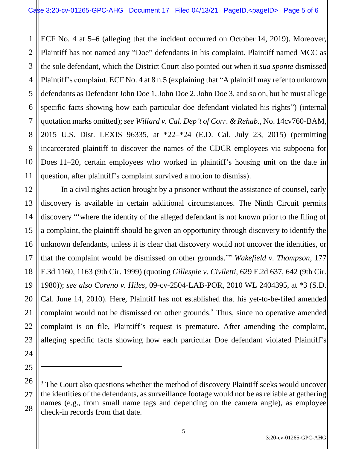1 2 3 4 5 6 7 8 9 10 11 ECF No. 4 at 5–6 (alleging that the incident occurred on October 14, 2019). Moreover, Plaintiff has not named any "Doe" defendants in his complaint. Plaintiff named MCC as the sole defendant, which the District Court also pointed out when it *sua sponte* dismissed Plaintiff's complaint. ECF No. 4 at 8 n.5 (explaining that "A plaintiff may refer to unknown defendants as Defendant John Doe 1, John Doe 2, John Doe 3, and so on, but he must allege specific facts showing how each particular doe defendant violated his rights") (internal quotation marks omitted); *see Willard v. Cal. Dep't of Corr. & Rehab.*, No. 14cv760-BAM, 2015 U.S. Dist. LEXIS 96335, at \*22–\*24 (E.D. Cal. July 23, 2015) (permitting incarcerated plaintiff to discover the names of the CDCR employees via subpoena for Does 11–20, certain employees who worked in plaintiff's housing unit on the date in question, after plaintiff's complaint survived a motion to dismiss).

12 13 16 19 20 23 In a civil rights action brought by a prisoner without the assistance of counsel, early discovery is available in certain additional circumstances. The Ninth Circuit permits discovery "'where the identity of the alleged defendant is not known prior to the filing of a complaint, the plaintiff should be given an opportunity through discovery to identify the unknown defendants, unless it is clear that discovery would not uncover the identities, or that the complaint would be dismissed on other grounds.'" *Wakefield v. Thompson*, 177 F.3d 1160, 1163 (9th Cir. 1999) (quoting *Gillespie v. Civiletti*, 629 F.2d 637, 642 (9th Cir. 1980)); *see also Coreno v. Hiles*, 09-cv-2504-LAB-POR, 2010 WL 2404395, at \*3 (S.D. Cal. June 14, 2010). Here, Plaintiff has not established that his yet-to-be-filed amended complaint would not be dismissed on other grounds.<sup>3</sup> Thus, since no operative amended complaint is on file, Plaintiff's request is premature. After amending the complaint, alleging specific facts showing how each particular Doe defendant violated Plaintiff's

14

15

17

18

21

22

24

<sup>26</sup> 27 28  $3$  The Court also questions whether the method of discovery Plaintiff seeks would uncover the identities of the defendants, as surveillance footage would not be as reliable at gathering names (e.g., from small name tags and depending on the camera angle), as employee check-in records from that date.